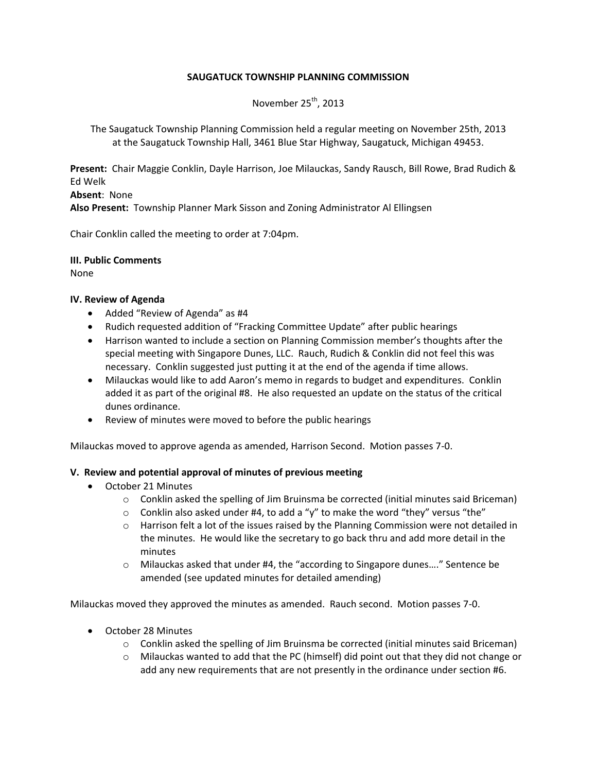# **SAUGATUCK TOWNSHIP PLANNING COMMISSION**

November  $25<sup>th</sup>$ , 2013

The Saugatuck Township Planning Commission held a regular meeting on November 25th, 2013 at the Saugatuck Township Hall, 3461 Blue Star Highway, Saugatuck, Michigan 49453.

**Present:** Chair Maggie Conklin, Dayle Harrison, Joe Milauckas, Sandy Rausch, Bill Rowe, Brad Rudich & Ed Welk

**Absent**: None **Also Present:** Township Planner Mark Sisson and Zoning Administrator Al Ellingsen

Chair Conklin called the meeting to order at 7:04pm.

**III. Public Comments**

None

### **IV. Review of Agenda**

- Added "Review of Agenda" as #4
- Rudich requested addition of "Fracking Committee Update" after public hearings
- Harrison wanted to include a section on Planning Commission member's thoughts after the special meeting with Singapore Dunes, LLC. Rauch, Rudich & Conklin did not feel this was necessary. Conklin suggested just putting it at the end of the agenda if time allows.
- Milauckas would like to add Aaron's memo in regards to budget and expenditures. Conklin added it as part of the original #8. He also requested an update on the status of the critical dunes ordinance.
- Review of minutes were moved to before the public hearings

Milauckas moved to approve agenda as amended, Harrison Second. Motion passes 7-0.

### **V. Review and potential approval of minutes of previous meeting**

- October 21 Minutes
	- $\circ$  Conklin asked the spelling of Jim Bruinsma be corrected (initial minutes said Briceman)
	- $\circ$  Conklin also asked under #4, to add a "y" to make the word "they" versus "the"
	- $\circ$  Harrison felt a lot of the issues raised by the Planning Commission were not detailed in the minutes. He would like the secretary to go back thru and add more detail in the minutes
	- o Milauckas asked that under #4, the "according to Singapore dunes…." Sentence be amended (see updated minutes for detailed amending)

Milauckas moved they approved the minutes as amended. Rauch second. Motion passes 7-0.

- October 28 Minutes
	- o Conklin asked the spelling of Jim Bruinsma be corrected (initial minutes said Briceman)
	- $\circ$  Milauckas wanted to add that the PC (himself) did point out that they did not change or add any new requirements that are not presently in the ordinance under section #6.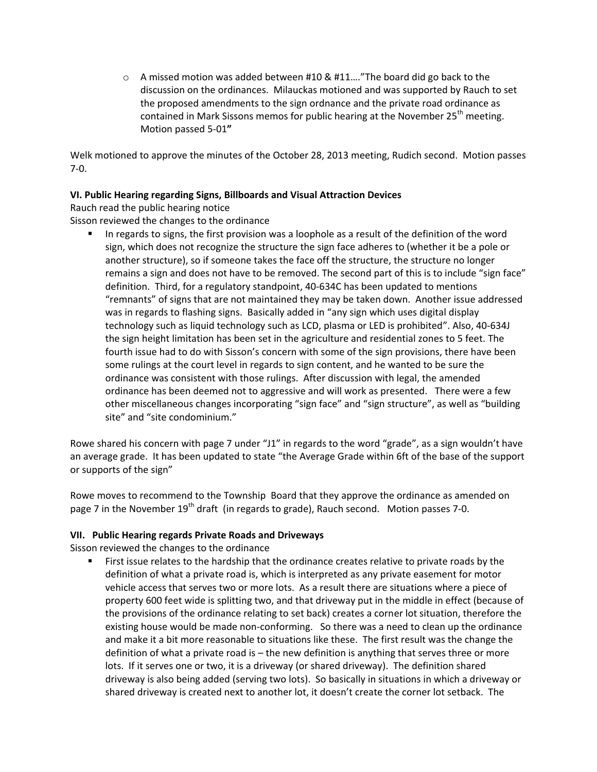o A missed motion was added between #10 & #11…."The board did go back to the discussion on the ordinances. Milauckas motioned and was supported by Rauch to set the proposed amendments to the sign ordnance and the private road ordinance as contained in Mark Sissons memos for public hearing at the November  $25<sup>th</sup>$  meeting. Motion passed 5-01**"**

Welk motioned to approve the minutes of the October 28, 2013 meeting, Rudich second. Motion passes 7-0.

# **VI. Public Hearing regarding Signs, Billboards and Visual Attraction Devices**

Rauch read the public hearing notice

Sisson reviewed the changes to the ordinance

 In regards to signs, the first provision was a loophole as a result of the definition of the word sign, which does not recognize the structure the sign face adheres to (whether it be a pole or another structure), so if someone takes the face off the structure, the structure no longer remains a sign and does not have to be removed. The second part of this is to include "sign face" definition. Third, for a regulatory standpoint, 40-634C has been updated to mentions "remnants" of signs that are not maintained they may be taken down. Another issue addressed was in regards to flashing signs. Basically added in "any sign which uses digital display technology such as liquid technology such as LCD, plasma or LED is prohibited". Also, 40-634J the sign height limitation has been set in the agriculture and residential zones to 5 feet. The fourth issue had to do with Sisson's concern with some of the sign provisions, there have been some rulings at the court level in regards to sign content, and he wanted to be sure the ordinance was consistent with those rulings. After discussion with legal, the amended ordinance has been deemed not to aggressive and will work as presented. There were a few other miscellaneous changes incorporating "sign face" and "sign structure", as well as "building site" and "site condominium."

Rowe shared his concern with page 7 under "J1" in regards to the word "grade", as a sign wouldn't have an average grade. It has been updated to state "the Average Grade within 6ft of the base of the support or supports of the sign"

Rowe moves to recommend to the Township Board that they approve the ordinance as amended on page 7 in the November  $19<sup>th</sup>$  draft (in regards to grade), Rauch second. Motion passes 7-0.

### **VII. Public Hearing regards Private Roads and Driveways**

Sisson reviewed the changes to the ordinance

**First issue relates to the hardship that the ordinance creates relative to private roads by the** definition of what a private road is, which is interpreted as any private easement for motor vehicle access that serves two or more lots. As a result there are situations where a piece of property 600 feet wide is splitting two, and that driveway put in the middle in effect (because of the provisions of the ordinance relating to set back) creates a corner lot situation, therefore the existing house would be made non-conforming. So there was a need to clean up the ordinance and make it a bit more reasonable to situations like these. The first result was the change the definition of what a private road is – the new definition is anything that serves three or more lots. If it serves one or two, it is a driveway (or shared driveway). The definition shared driveway is also being added (serving two lots). So basically in situations in which a driveway or shared driveway is created next to another lot, it doesn't create the corner lot setback. The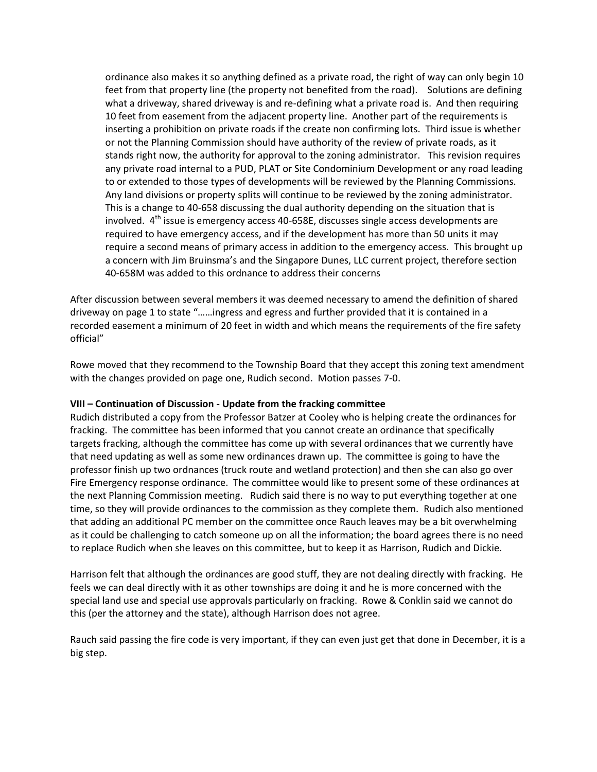ordinance also makes it so anything defined as a private road, the right of way can only begin 10 feet from that property line (the property not benefited from the road). Solutions are defining what a driveway, shared driveway is and re-defining what a private road is. And then requiring 10 feet from easement from the adjacent property line. Another part of the requirements is inserting a prohibition on private roads if the create non confirming lots. Third issue is whether or not the Planning Commission should have authority of the review of private roads, as it stands right now, the authority for approval to the zoning administrator. This revision requires any private road internal to a PUD, PLAT or Site Condominium Development or any road leading to or extended to those types of developments will be reviewed by the Planning Commissions. Any land divisions or property splits will continue to be reviewed by the zoning administrator. This is a change to 40-658 discussing the dual authority depending on the situation that is involved.  $4<sup>th</sup>$  issue is emergency access 40-658E, discusses single access developments are required to have emergency access, and if the development has more than 50 units it may require a second means of primary access in addition to the emergency access. This brought up a concern with Jim Bruinsma's and the Singapore Dunes, LLC current project, therefore section 40-658M was added to this ordnance to address their concerns

After discussion between several members it was deemed necessary to amend the definition of shared driveway on page 1 to state "……ingress and egress and further provided that it is contained in a recorded easement a minimum of 20 feet in width and which means the requirements of the fire safety official"

Rowe moved that they recommend to the Township Board that they accept this zoning text amendment with the changes provided on page one, Rudich second. Motion passes 7-0.

### **VIII – Continuation of Discussion - Update from the fracking committee**

Rudich distributed a copy from the Professor Batzer at Cooley who is helping create the ordinances for fracking. The committee has been informed that you cannot create an ordinance that specifically targets fracking, although the committee has come up with several ordinances that we currently have that need updating as well as some new ordinances drawn up. The committee is going to have the professor finish up two ordnances (truck route and wetland protection) and then she can also go over Fire Emergency response ordinance. The committee would like to present some of these ordinances at the next Planning Commission meeting. Rudich said there is no way to put everything together at one time, so they will provide ordinances to the commission as they complete them. Rudich also mentioned that adding an additional PC member on the committee once Rauch leaves may be a bit overwhelming as it could be challenging to catch someone up on all the information; the board agrees there is no need to replace Rudich when she leaves on this committee, but to keep it as Harrison, Rudich and Dickie.

Harrison felt that although the ordinances are good stuff, they are not dealing directly with fracking. He feels we can deal directly with it as other townships are doing it and he is more concerned with the special land use and special use approvals particularly on fracking. Rowe & Conklin said we cannot do this (per the attorney and the state), although Harrison does not agree.

Rauch said passing the fire code is very important, if they can even just get that done in December, it is a big step.